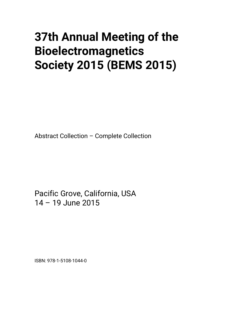## **37th Annual Meeting of the Bioelectromagnetics Society 2015 (BEMS 2015)**

Abstract Collection – Complete Collection

Pacific Grove, California, USA 14 – 19 June 2015

ISBN: 978-1-5108-1044-0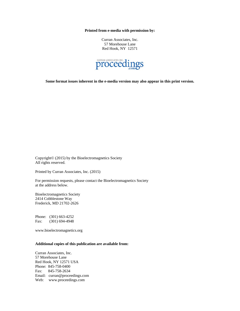**Printed from e-media with permission by:** 

Curran Associates, Inc. 57 Morehouse Lane Red Hook, NY 12571



**Some format issues inherent in the e-media version may also appear in this print version.** 

Copyright© (2015) by the Bioelectromagnetics Society All rights reserved.

Printed by Curran Associates, Inc. (2015)

For permission requests, please contact the Bioelectromagnetics Society at the address below.

Bioelectromagnetics Society 2414 Cobblestone Way Frederick, MD 21702-2626

Phone: (301) 663-4252 Fax: (301) 694-4948

www.bioelectromagnetics.org

## **Additional copies of this publication are available from:**

Curran Associates, Inc. 57 Morehouse Lane Red Hook, NY 12571 USA Phone: 845-758-0400 Fax: 845-758-2634 Email: curran@proceedings.com Web: www.proceedings.com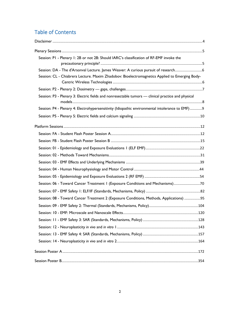## Table of Contents

| Session: PI - Plenary 1: 2B or not 2B: Should IARC's classification of RF-EMF invoke the                                                                                                                                                                                                                                                                                                                                                                                                                 |  |
|----------------------------------------------------------------------------------------------------------------------------------------------------------------------------------------------------------------------------------------------------------------------------------------------------------------------------------------------------------------------------------------------------------------------------------------------------------------------------------------------------------|--|
| Session: DA - The d'Arsonval Lecture. James Weaver: A curious pursuit of research<br>Session: CL - Chiabrera Lecture. Maxim Zhadobov: Bioelectromagnetics Applied to Emerging Body-                                                                                                                                                                                                                                                                                                                      |  |
|                                                                                                                                                                                                                                                                                                                                                                                                                                                                                                          |  |
| Session: P3 - Plenary 3: Electric fields and nonresectable tumors — clinical practice and physical<br>$\mathsf{models} \, \mathsf{}\, \mathsf{}\, \mathsf{}\, \mathsf{}\, \mathsf{}\, \mathsf{}\, \mathsf{}\, \mathsf{}\, \mathsf{}\, \mathsf{}\, \mathsf{}\, \mathsf{}\, \mathsf{}\, \mathsf{}\, \mathsf{}\, \mathsf{}\, \mathsf{}\, \mathsf{}\, \mathsf{}\, \mathsf{}\, \mathsf{}\, \mathsf{}\, \mathsf{}\, \mathsf{}\, \mathsf{}\, \mathsf{}\, \mathsf{}\, \mathsf{}\, \mathsf{}\, \mathsf{}\, \math$ |  |
| Session: P4 - Plenary 4: Electrohypersensitivity (Idiopathic environmental intolerance to EMF)9                                                                                                                                                                                                                                                                                                                                                                                                          |  |
|                                                                                                                                                                                                                                                                                                                                                                                                                                                                                                          |  |
|                                                                                                                                                                                                                                                                                                                                                                                                                                                                                                          |  |
|                                                                                                                                                                                                                                                                                                                                                                                                                                                                                                          |  |
|                                                                                                                                                                                                                                                                                                                                                                                                                                                                                                          |  |
|                                                                                                                                                                                                                                                                                                                                                                                                                                                                                                          |  |
|                                                                                                                                                                                                                                                                                                                                                                                                                                                                                                          |  |
|                                                                                                                                                                                                                                                                                                                                                                                                                                                                                                          |  |
|                                                                                                                                                                                                                                                                                                                                                                                                                                                                                                          |  |
|                                                                                                                                                                                                                                                                                                                                                                                                                                                                                                          |  |
| Session: 06 - Toward Cancer Treatment 1 (Exposure Conditions and Mechanisms)70                                                                                                                                                                                                                                                                                                                                                                                                                           |  |
|                                                                                                                                                                                                                                                                                                                                                                                                                                                                                                          |  |
| Session: 08 - Toward Cancer Treatment 2 (Exposure Conditions, Methods, Applications) 95                                                                                                                                                                                                                                                                                                                                                                                                                  |  |
|                                                                                                                                                                                                                                                                                                                                                                                                                                                                                                          |  |
|                                                                                                                                                                                                                                                                                                                                                                                                                                                                                                          |  |
|                                                                                                                                                                                                                                                                                                                                                                                                                                                                                                          |  |
|                                                                                                                                                                                                                                                                                                                                                                                                                                                                                                          |  |
|                                                                                                                                                                                                                                                                                                                                                                                                                                                                                                          |  |
|                                                                                                                                                                                                                                                                                                                                                                                                                                                                                                          |  |
|                                                                                                                                                                                                                                                                                                                                                                                                                                                                                                          |  |
|                                                                                                                                                                                                                                                                                                                                                                                                                                                                                                          |  |